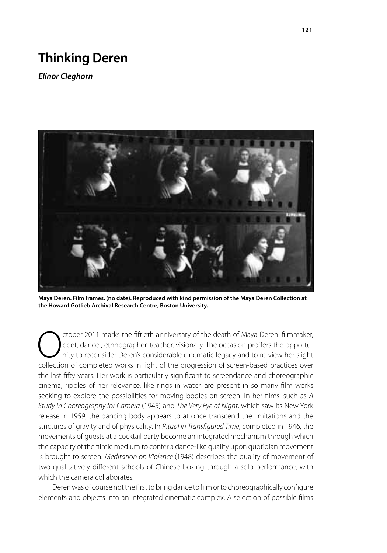## **Thinking Deren**

*Elinor Cleghorn*



**Maya Deren. Film frames. (no date). Reproduced with kind permission of the Maya Deren Collection at the Howard Gotlieb Archival Research Centre, Boston University.**

ctober 2011 marks the fiftieth anniversary of the death of Maya Deren: filmmaker, poet, dancer, ethnographer, teacher, visionary. The occasion proffers the opportunity to reconsider Deren's considerable cinematic legacy and to re-view her slight collection of completed works in light of the progression of screen-based practices over the last fifty years. Her work is particularly significant to screendance and choreographic cinema; ripples of her relevance, like rings in water, are present in so many film works seeking to explore the possibilities for moving bodies on screen. In her films, such as *A Study in Choreography for Camera* (1945) and *The Very Eye of Night*, which saw its New York release in 1959, the dancing body appears to at once transcend the limitations and the strictures of gravity and of physicality. In *Ritual in Transfigured Time*, completed in 1946, the movements of guests at a cocktail party become an integrated mechanism through which the capacity of the filmic medium to confer a dance-like quality upon quotidian movement is brought to screen. *Meditation on Violence* (1948) describes the quality of movement of two qualitatively different schools of Chinese boxing through a solo performance, with which the camera collaborates.

Deren was of course not the first to bring dance to film or to choreographically configure elements and objects into an integrated cinematic complex. A selection of possible films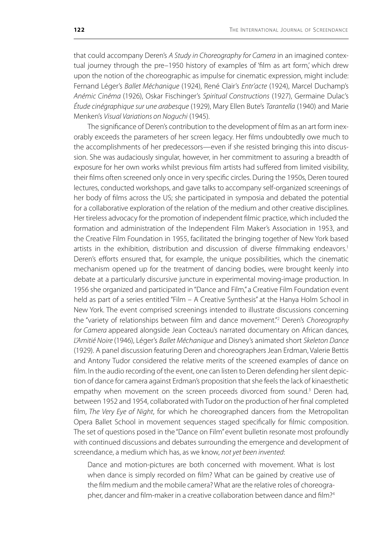that could accompany Deren's *A Study in Choreography for Camera* in an imagined contextual journey through the pre-1950 history of examples of 'film as art form', which drew upon the notion of the choreographic as impulse for cinematic expression, might include: Fernand Léger's *Ballet Méchanique* (1924), René Clair's *Entr'acte* (1924), Marcel Duchamp's *Anémic Cinéma* (1926), Oskar Fischinger's *Spiritual Constructions* (1927), Germaine Dulac's *Étude cinégraphique sur une arabesque* (1929), Mary Ellen Bute's *Tarantella* (1940) and Marie Menken's *Visual Variations on Noguchi* (1945).

The significance of Deren's contribution to the development of film as an art form inexorably exceeds the parameters of her screen legacy. Her films undoubtedly owe much to the accomplishments of her predecessors—even if she resisted bringing this into discussion. She was audaciously singular, however, in her commitment to assuring a breadth of exposure for her own works whilst previous film artists had suffered from limited visibility, their films often screened only once in very specific circles. During the 1950s, Deren toured lectures, conducted workshops, and gave talks to accompany self-organized screenings of her body of films across the US; she participated in symposia and debated the potential for a collaborative exploration of the relation of the medium and other creative disciplines. Her tireless advocacy for the promotion of independent filmic practice, which included the formation and administration of the Independent Film Maker's Association in 1953, and the Creative Film Foundation in 1955, facilitated the bringing together of New York based artists in the exhibition, distribution and discussion of diverse filmmaking endeavors.<sup>1</sup> Deren's efforts ensured that, for example, the unique possibilities, which the cinematic mechanism opened up for the treatment of dancing bodies, were brought keenly into debate at a particularly discursive juncture in experimental moving-image production. In 1956 she organized and participated in "Dance and Film," a Creative Film Foundation event held as part of a series entitled "Film – A Creative Synthesis" at the Hanya Holm School in New York. The event comprised screenings intended to illustrate discussions concerning the "variety of relationships between film and dance movement."2 Deren's *Choreography for Camera* appeared alongside Jean Cocteau's narrated documentary on African dances, *L'Amitié Noire* (1946), Léger's *Ballet Méchanique* and Disney's animated short *Skeleton Dance* (1929). A panel discussion featuring Deren and choreographers Jean Erdman, Valerie Bettis and Antony Tudor considered the relative merits of the screened examples of dance on film. In the audio recording of the event, one can listen to Deren defending her silent depiction of dance for camera against Erdman's proposition that she feels the lack of kinaesthetic empathy when movement on the screen proceeds divorced from sound.<sup>3</sup> Deren had, between 1952 and 1954, collaborated with Tudor on the production of her final completed film, *The Very Eye of Night*, for which he choreographed dancers from the Metropolitan Opera Ballet School in movement sequences staged specifically for filmic composition. The set of questions posed in the "Dance on Film" event bulletin resonate most profoundly with continued discussions and debates surrounding the emergence and development of screendance, a medium which has, as we know, *not yet been invented*:

Dance and motion-pictures are both concerned with movement. What is lost when dance is simply recorded on film? What can be gained by creative use of the film medium and the mobile camera? What are the relative roles of choreographer, dancer and film-maker in a creative collaboration between dance and film?<sup>4</sup>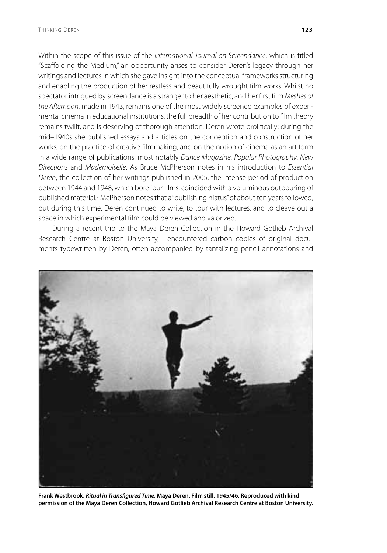Within the scope of this issue of the *International Journal on Screendance*, which is titled "Scaffolding the Medium," an opportunity arises to consider Deren's legacy through her writings and lectures in which she gave insight into the conceptual frameworks structuring and enabling the production of her restless and beautifully wrought film works. Whilst no spectator intrigued by screendance is a stranger to her aesthetic, and her first film *Meshes of the Afternoon*, made in 1943, remains one of the most widely screened examples of experimental cinema in educational institutions, the full breadth of her contribution to film theory remains twilit, and is deserving of thorough attention. Deren wrote prolifically: during the mid–1940s she published essays and articles on the conception and construction of her works, on the practice of creative filmmaking, and on the notion of cinema as an art form in a wide range of publications, most notably *Dance Magazine*, *Popular Photography*, *New Directions* and *Mademoiselle*. As Bruce McPherson notes in his introduction to *Essential Deren*, the collection of her writings published in 2005, the intense period of production between 1944 and 1948, which bore four films, coincided with a voluminous outpouring of published material.<sup>5</sup> McPherson notes that a "publishing hiatus" of about ten years followed, but during this time, Deren continued to write, to tour with lectures, and to cleave out a space in which experimental film could be viewed and valorized.

During a recent trip to the Maya Deren Collection in the Howard Gotlieb Archival Research Centre at Boston University, I encountered carbon copies of original documents typewritten by Deren, often accompanied by tantalizing pencil annotations and



**Frank Westbrook,** *Ritual in Transfigured Time***, Maya Deren. Film still. 1945/46. Reproduced with kind permission of the Maya Deren Collection, Howard Gotlieb Archival Research Centre at Boston University.**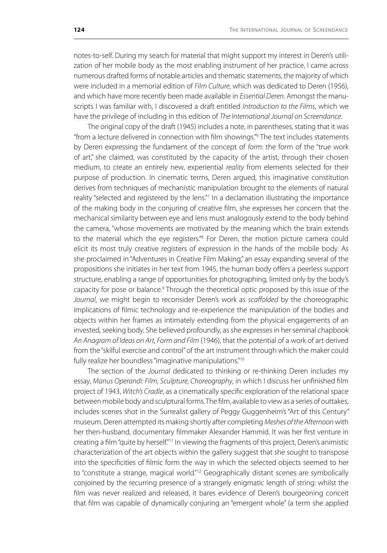notes-to-self. During my search for material that might support my interest in Deren's utilization of her mobile body as the most enabling instrument of her practice, I came across numerous drafted forms of notable articles and thematic statements, the majority of which were included in a memorial edition of *Film Culture*, which was dedicated to Deren (1956), and which have more recently been made available in *Essential Deren*. Amongst the manuscripts I was familiar with, I discovered a draft entitled *Introduction to the Films*, which we have the privilege of including in this edition of *The International Journal on Screendance*.

The original copy of the draft (1945) includes a note, in parentheses, stating that it was "from a lecture delivered in connection with film showings."6 The text includes statements by Deren expressing the fundament of the concept of *form*: the form of the "true work of art," she claimed, was constituted by the capacity of the artist, through their chosen medium, to create an entirely new, experiential *reality* from elements selected for their purpose of production. In cinematic terms, Deren argued, this imaginative constitution derives from techniques of mechanistic manipulation brought to the elements of natural reality "selected and registered by the lens."<sup>7</sup> In a declamation illustrating the importance of the making body in the conjuring of creative film, she expresses her concern that the mechanical similarity between eye and lens must analogously extend to the body behind the camera, "whose movements are motivated by the meaning which the brain extends to the material which the eye registers.<sup>"8</sup> For Deren, the motion picture camera could elicit its most truly creative registers of expression in the hands of the mobile body. As she proclaimed in "Adventures in Creative Film Making," an essay expanding several of the propositions she initiates in her text from 1945, the human body offers a peerless support structure, enabling a range of opportunities for photographing, limited only by the body's capacity for pose or balance.<sup>9</sup> Through the theoretical optic proposed by this issue of the *Journal*, we might begin to reconsider Deren's work as *scaffolded* by the choreographic implications of filmic technology and re-experience the manipulation of the bodies and objects within her frames as intimately extending from the physical engagements of an invested, seeking body. She believed profoundly, as she expresses in her seminal chapbook *An Anagram of Ideas on Art, Form and Film* (1946), that the potential of a work of art derived from the "skilful exercise and control" of the art instrument through which the maker could fully realize her boundless "imaginative manipulations."<sup>10</sup>

The section of the *Journal* dedicated to thinking or re-thinking Deren includes my essay, *Manus Operandi: Film, Sculpture, Choreography*, in which I discuss her unfinished film project of 1943, *Witch's Cradle*, as a cinematically specific exploration of the relational space between mobile body and sculptural forms. The film, available to view as a series of outtakes, includes scenes shot in the Surrealist gallery of Peggy Guggenheim's "Art of this Century" museum. Deren attempted its making shortly after completing *Meshes of the Afternoon* with her then-husband, documentary filmmaker Alexander Hammid. It was her first venture in creating a film "quite by herself."<sup>11</sup> In viewing the fragments of this project, Deren's animistic characterization of the art objects within the gallery suggest that she sought to transpose into the specificities of filmic form the way in which the selected objects seemed to her to "constitute a strange, magical world."<sup>12</sup> Geographically distant scenes are symbolically conjoined by the recurring presence of a strangely enigmatic length of string: whilst the film was never realized and released, it bares evidence of Deren's bourgeoning conceit that film was capable of dynamically conjuring an "emergent whole" (a term she applied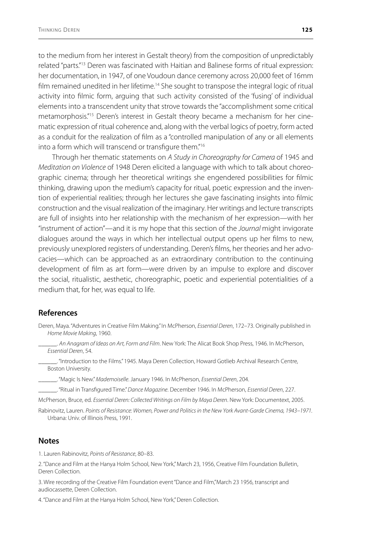to the medium from her interest in Gestalt theory) from the composition of unpredictably related "parts."<sup>13</sup> Deren was fascinated with Haitian and Balinese forms of ritual expression: her documentation, in 1947, of one Voudoun dance ceremony across 20,000 feet of 16mm film remained unedited in her lifetime.<sup>14</sup> She sought to transpose the integral logic of ritual activity into filmic form, arguing that such activity consisted of the 'fusing' of individual elements into a transcendent unity that strove towards the "accomplishment some critical metamorphosis."15 Deren's interest in Gestalt theory became a mechanism for her cinematic expression of ritual coherence and, along with the verbal logics of poetry, form acted as a conduit for the realization of film as a "controlled manipulation of any or all elements into a form which will transcend or transfigure them."16

Through her thematic statements on *A Study in Choreography for Camera* of 1945 and *Meditation on Violence* of 1948 Deren elicited a language with which to talk about choreographic cinema; through her theoretical writings she engendered possibilities for filmic thinking, drawing upon the medium's capacity for ritual, poetic expression and the invention of experiential realities; through her lectures she gave fascinating insights into filmic construction and the visual realization of the imaginary. Her writings and lecture transcripts are full of insights into her relationship with the mechanism of her expression—with her "instrument of action"—and it is my hope that this section of the *Journal* might invigorate dialogues around the ways in which her intellectual output opens up her films to new, previously unexplored registers of understanding. Deren's films, her theories and her advocacies—which can be approached as an extraordinary contribution to the continuing development of film as art form—were driven by an impulse to explore and discover the social, ritualistic, aesthetic, choreographic, poetic and experiential potentialities of a medium that, for her, was equal to life.

## **References**

- Deren, Maya. "Adventures in Creative Film Making." In McPherson, *Essential Deren*, 172–73. Originally published in *Home Movie Making*, 1960.
	- \_\_\_\_\_\_. *An Anagram of Ideas on Art, Form and Film*. New York: The Alicat Book Shop Press, 1946. In McPherson, *Essential Deren*, 54.
	- \_\_\_\_\_\_. "Introduction to the Films." 1945. Maya Deren Collection, Howard Gotlieb Archival Research Centre, Boston University.
	- \_\_\_\_\_\_. "Magic Is New." *Mademoiselle*. January 1946. In McPherson, *Essential Deren*, 204.
- \_\_\_\_\_\_. "Ritual in Transfigured Time." *Dance Magazine*. December 1946. In McPherson, *Essential Deren*, 227.
- McPherson, Bruce, ed. *Essential Deren: Collected Writings on Film by Maya Deren*. New York: Documentext, 2005.
- Rabinovitz, Lauren. *Points of Resistance: Women, Power and Politics in the New York Avant-Garde Cinema, 1943–1971.*  Urbana: Univ. of Illinois Press, 1991.

## **Notes**

1. Lauren Rabinovitz, *Points of Resistance*, 80–83.

2. "Dance and Film at the Hanya Holm School, New York," March 23, 1956, Creative Film Foundation Bulletin, Deren Collection.

3. Wire recording of the Creative Film Foundation event "Dance and Film,"March 23 1956, transcript and audiocassette, Deren Collection.

4. "Dance and Film at the Hanya Holm School, New York," Deren Collection.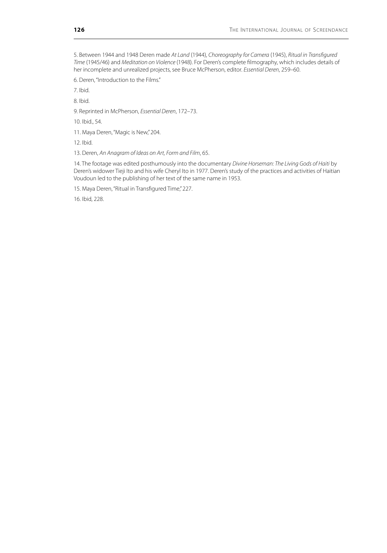5. Between 1944 and 1948 Deren made *At Land* (1944), *Choreography for Camera* (1945), *Ritual in Transfigured Time* (1945/46) and *Meditation on Violence* (1948). For Deren's complete filmography, which includes details of her incomplete and unrealized projects, see Bruce McPherson, editor. *Essential Deren*, 259–60.

6. Deren, "Introduction to the Films."

7. Ibid.

8. Ibid.

9. Reprinted in McPherson, *Essential Deren*, 172–73.

10. Ibid., 54.

11. Maya Deren, "Magic is New," 204.

12. Ibid.

13. Deren, *An Anagram of Ideas on Art, Form and Film*, 65.

14. The footage was edited posthumously into the documentary *Divine Horseman: The Living Gods of Haiti* by Deren's widower Tieji Ito and his wife Cheryl Ito in 1977. Deren's study of the practices and activities of Haitian Voudoun led to the publishing of her text of the same name in 1953.

15. Maya Deren, "Ritual in Transfigured Time," 227.

16. Ibid, 228.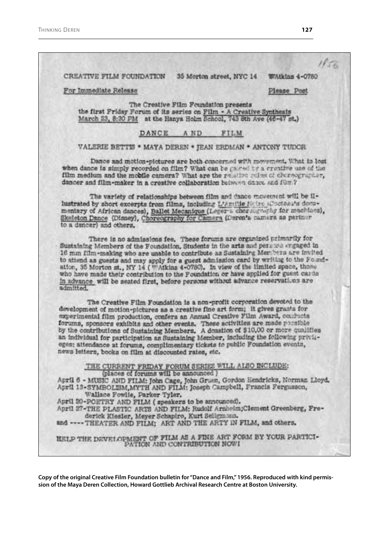$1856$ CREATIVE FILM FOUNDATION WAtkins 4-0780 35 Morton street, NYC 14 For Immediate Release Please Post The Creative Film Foundation presents the first Friday Forum of its series on Film - A Creative Synthesis March 23, 8:30 PM at the Hanya Holm School, 743 8th Ave (46-47 st.) DANCE AND FILM VALERIE BETTIS \* MAYA DEREN \* JEAN ERDMAN \* ANTONY TUDOR Dance and motion-pictures are both concerned with movement. What is lost when dance is simply recorded on film? What can be gained by a creative use of the film medium and the mobile camera? What are the relative reles of choreographer, dancer and film-maker in a creative collaboration between dance and fum? The variety of relationships between film and dance movement will be illustrated by short excerpts from films, including L'Amilie ficire (Coctasuls documentary of African dances), Ballet Mecanique (Leger's chorocycly for muchines), Skeleton Dance (Disney), Choreography for Camera (Deren's camera as partner to a dencer) and others. There is no admissions fee. These forums are organized primarily for Sustaining Members of the Foundation, Students in the arts and persons engaged in 16 mm film-making who are unable to contribute as Sustaining Members are invited to attend as guests and may apply for a guest admission card by writing to the Foundation, 35 Morton st., NY 14 ( WAikins 4-0780). In view of the limited space, those who have made their contribution to the Poundation or have applied for guest cards In advance will be seated first, before persons without advance reservations are admitted. The Creative Film Foundation is a non-profit corporation devoted to the development of motion-pictures as a creative fine art form; it gives grants for experimental film production, confers an Annual Creative Film Award, conducts forums, sponsors exhibits and other events. These activities are made possible by the contributions of Sustaining Members. A donation of \$10,00 or more qualifies an individual for participation as Sustaining Member, including the following privileges; attendance at forums, complimentary tickets to public Foundation events, news letters, books on film at discounted rates, etc. THE CURRENT FRIDAY FORUM SERIES WILL ALSO INCLUDE:<br>(places of forums will be announced) April 6 - MUSIC AND FILM: John Cage, John Gruen, Gordon Hendricks, Norman Lloyd, April 13-SYMBOLISM, MYTH AND FILM: Joseph Campbell, Francis Fergusson, Wallace Fowlie, Parker Tyler. April 20-POETRY AND FILM (speakers to be announced). April 27-THE PLASTIC ARTS AND FILM; Rudolf Arnheim;Clement Greenberg, Frederick Kiesler, Meyer Schapiro, Kurt Seligmann. and ---- THEATER AND FILM; ART AND THE ARTY IN FILM, and others. HELP THE DEVELOPMENT OF FILM AS A FINE ART FORM BY YOUR PARTICIPATION AND CONTRIBUTION  $\mathsf{N}\mathsf{O}\mathsf{W}\mathsf{I}$ 

**Copy of the original Creative Film Foundation bulletin for "Dance and Film," 1956. Reproduced with kind permission of the Maya Deren Collection, Howard Gottlieb Archival Research Centre at Boston University.**